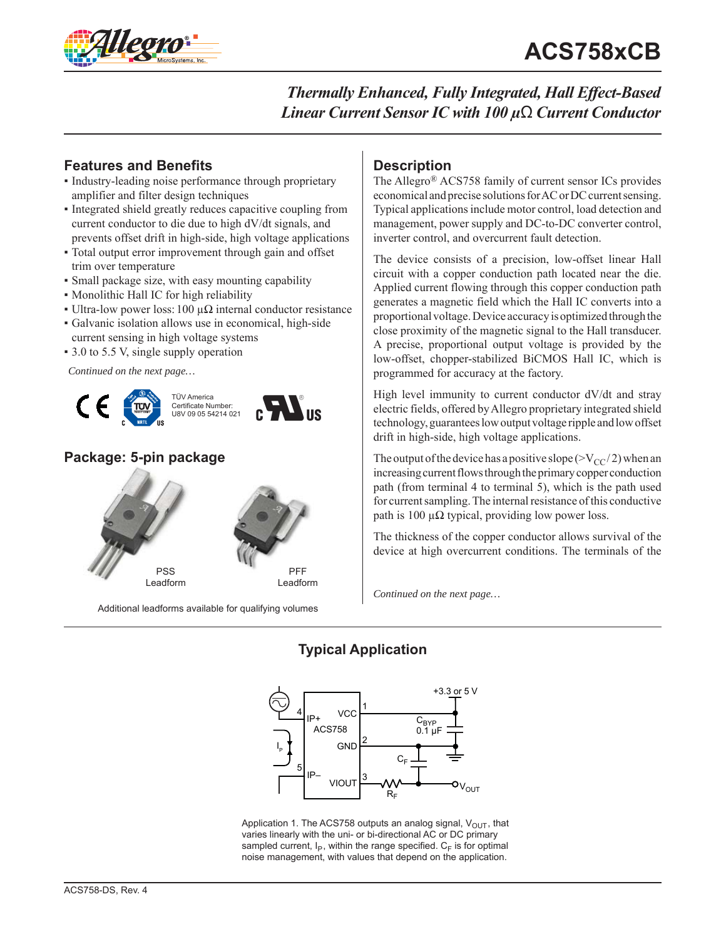



# **Features and Benefits**

- Industry-leading noise performance through proprietary amplifier and filter design techniques
- Integrated shield greatly reduces capacitive coupling from current conductor to die due to high dV/dt signals, and prevents offset drift in high-side, high voltage applications
- Total output error improvement through gain and offset trim over temperature
- Small package size, with easy mounting capability
- Monolithic Hall IC for high reliability
- Ultra-low power loss: 100 μ $\Omega$  internal conductor resistance
- Galvanic isolation allows use in economical, high-side current sensing in high voltage systems
- 3.0 to 5.5 V, single supply operation

*Continued on the next page…*



# **Package: 5-pin package**



Additional leadforms available for qualifying volumes

# **Description**

The Allegro® ACS758 family of current sensor ICs provides economical and precise solutions for AC or DC current sensing. Typical applications include motor control, load detection and management, power supply and DC-to-DC converter control, inverter control, and overcurrent fault detection.

The device consists of a precision, low-offset linear Hall circuit with a copper conduction path located near the die. Applied current flowing through this copper conduction path generates a magnetic field which the Hall IC converts into a proportional voltage. Device accuracy is optimized through the close proximity of the magnetic signal to the Hall transducer. A precise, proportional output voltage is provided by the low-offset, chopper-stabilized BiCMOS Hall IC, which is programmed for accuracy at the factory.

High level immunity to current conductor dV/dt and stray electric fields, offered by Allegro proprietary integrated shield technology, guarantees low output voltage ripple and low offset drift in high-side, high voltage applications.

The output of the device has a positive slope ( $>V_{CC}/2$ ) when an increasing current flows through the primary copper conduction path (from terminal 4 to terminal 5), which is the path used for current sampling. The internal resistance of this conductive path is 100 μ $\Omega$  typical, providing low power loss.

The thickness of the copper conductor allows survival of the device at high overcurrent conditions. The terminals of the

*Continued on the next page…*

# **Typical Application**



Application 1. The ACS758 outputs an analog signal,  $V_{OUT}$ , that varies linearly with the uni- or bi-directional AC or DC primary sampled current,  $I_P$ , within the range specified.  $C_F$  is for optimal noise management, with values that depend on the application.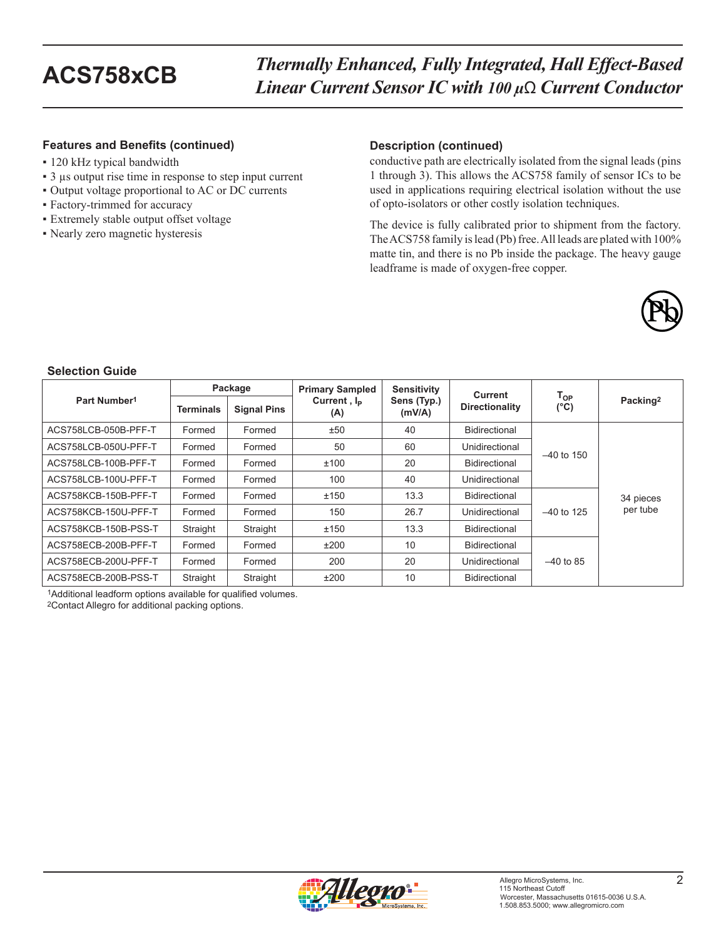### **Features and Benefits (continued) Description (continued)**

- 120 kHz typical bandwidth
- 3 μs output rise time in response to step input current
- Output voltage proportional to AC or DC currents
- Factory-trimmed for accuracy
- Extremely stable output offset voltage
- Nearly zero magnetic hysteresis

conductive path are electrically isolated from the signal leads (pins 1 through 3). This allows the ACS758 family of sensor ICs to be used in applications requiring electrical isolation without the use of opto-isolators or other costly isolation techniques.

The device is fully calibrated prior to shipment from the factory. The ACS758 family is lead (Pb) free. All leads are plated with 100% matte tin, and there is no Pb inside the package. The heavy gauge leadframe is made of oxygen-free copper.



### **Selection Guide**

|                          | Package          |                    | <b>Primary Sampled</b>         | Sensitivity           | <b>Current</b>        |                                    |                      |
|--------------------------|------------------|--------------------|--------------------------------|-----------------------|-----------------------|------------------------------------|----------------------|
| Part Number <sup>1</sup> | <b>Terminals</b> | <b>Signal Pins</b> | Current, I <sub>p</sub><br>(A) | Sens (Typ.)<br>(mV/A) | <b>Directionality</b> | $\mathsf{T_{OP}}$<br>$(^{\circ}C)$ | Packing <sup>2</sup> |
| ACS758LCB-050B-PFF-T     | Formed           | Formed             | ±50                            | 40                    | Bidirectional         |                                    |                      |
| ACS758LCB-050U-PFF-T     | Formed           | Formed             | 50                             | 60                    | Unidirectional        | $-40$ to 150                       |                      |
| ACS758LCB-100B-PFF-T     | Formed           | Formed             | ±100                           | 20                    | Bidirectional         |                                    |                      |
| ACS758LCB-100U-PFF-T     | Formed           | Formed             | 100                            | 40                    | Unidirectional        |                                    |                      |
| ACS758KCB-150B-PFF-T     | Formed           | Formed             | ±150                           | 13.3                  | <b>Bidirectional</b>  |                                    | 34 pieces            |
| ACS758KCB-150U-PFF-T     | Formed           | Formed             | 150                            | 26.7                  | Unidirectional        | $-40$ to 125                       | per tube             |
| ACS758KCB-150B-PSS-T     | Straight         | Straight           | ±150                           | 13.3                  | <b>Bidirectional</b>  |                                    |                      |
| ACS758ECB-200B-PFF-T     | Formed           | Formed             | ±200                           | 10                    | Bidirectional         |                                    |                      |
| ACS758ECB-200U-PFF-T     | Formed           | Formed             | 200                            | 20                    | Unidirectional        | $-40$ to 85                        |                      |
| ACS758ECB-200B-PSS-T     | Straight         | Straight           | ±200                           | 10                    | Bidirectional         |                                    |                      |

1Additional leadform options available for qualified volumes.

2Contact Allegro for additional packing options.

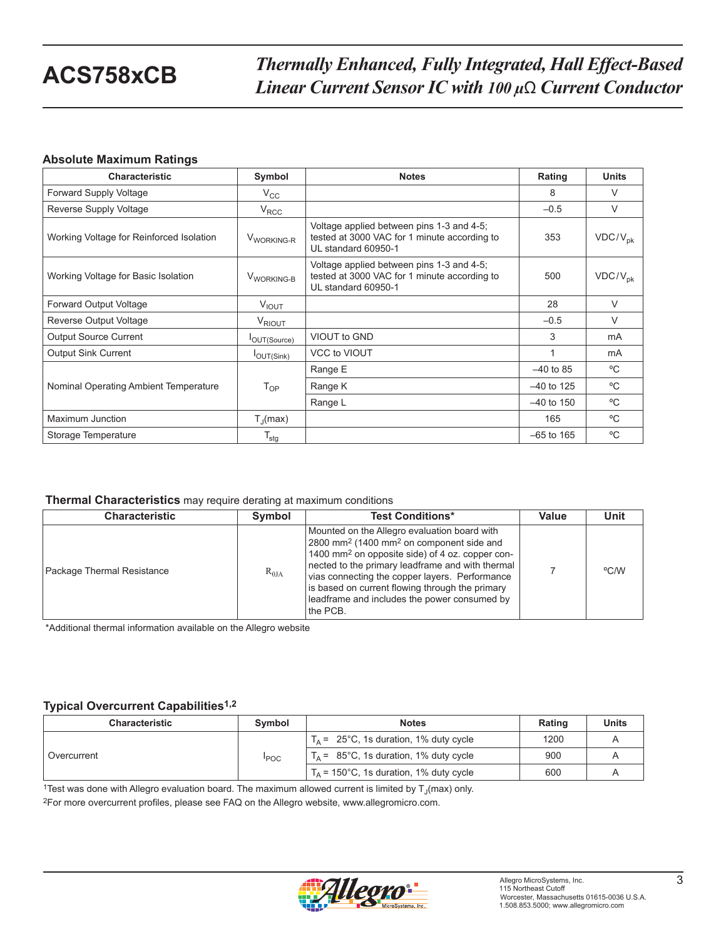### **Absolute Maximum Ratings**

| <b>Characteristic</b>                    | Symbol                 | <b>Notes</b>                                                                                                     | Rating       | <b>Units</b>   |
|------------------------------------------|------------------------|------------------------------------------------------------------------------------------------------------------|--------------|----------------|
| Forward Supply Voltage                   | $V_{\rm CC}$           |                                                                                                                  | 8            | V              |
| Reverse Supply Voltage                   | $V_{\rm{RCC}}$         |                                                                                                                  | $-0.5$       | $\vee$         |
| Working Voltage for Reinforced Isolation | V <sub>WORKING-R</sub> | Voltage applied between pins 1-3 and 4-5;<br>tested at 3000 VAC for 1 minute according to<br>UL standard 60950-1 | 353          | $VDC/V_{pk}$   |
| Working Voltage for Basic Isolation      | V <sub>WORKING-B</sub> | Voltage applied between pins 1-3 and 4-5;<br>tested at 3000 VAC for 1 minute according to<br>UL standard 60950-1 | 500          | $VDC/V_{pk}$   |
| Forward Output Voltage                   | $V_{IOUT}$             |                                                                                                                  | 28           | V              |
| Reverse Output Voltage                   | $V_{\mathsf{RIOUT}}$   |                                                                                                                  | $-0.5$       | $\vee$         |
| <b>Output Source Current</b>             | OUT(Source)            | VIOUT to GND                                                                                                     | 3            | m <sub>A</sub> |
| <b>Output Sink Current</b>               | $I_{\text{OUT(Sink)}}$ | <b>VCC to VIOUT</b>                                                                                              |              | m <sub>A</sub> |
|                                          |                        | Range E                                                                                                          | $-40$ to 85  | $^{\circ}$ C   |
| Nominal Operating Ambient Temperature    | $T_{OP}$               | Range K                                                                                                          | $-40$ to 125 | $^{\circ}$ C   |
|                                          |                        | Range L                                                                                                          | $-40$ to 150 | $^{\circ}C$    |
| Maximum Junction                         | $T_{\parallel}$ (max)  |                                                                                                                  | 165          | $^{\circ}$ C   |
| Storage Temperature                      | $T_{\text{stg}}$       |                                                                                                                  | $-65$ to 165 | $^{\circ}$ C   |

#### **Thermal Characteristics** may require derating at maximum conditions

| <b>Characteristic</b>      | Symbol          | <b>Test Conditions*</b>                                                                                                                                                                                                                                                                                                                                                                              | Value | <b>Unit</b> |
|----------------------------|-----------------|------------------------------------------------------------------------------------------------------------------------------------------------------------------------------------------------------------------------------------------------------------------------------------------------------------------------------------------------------------------------------------------------------|-------|-------------|
| Package Thermal Resistance | $R_{\theta JA}$ | Mounted on the Allegro evaluation board with<br>2800 mm <sup>2</sup> (1400 mm <sup>2</sup> on component side and<br>1400 mm <sup>2</sup> on opposite side) of 4 oz. copper con-<br>nected to the primary leadframe and with thermal<br>vias connecting the copper layers. Performance<br>is based on current flowing through the primary<br>leadframe and includes the power consumed by<br>the PCB. |       | °C/W        |

\*Additional thermal information available on the Allegro website

### **Typical Overcurrent Capabilities1,2**

| <b>Characteristic</b> | Symbol       | <b>Notes</b>                                     | Rating | <b>Units</b> |
|-----------------------|--------------|--------------------------------------------------|--------|--------------|
| Overcurrent           | <b>I</b> POC | $T_A = 25^{\circ}$ C, 1s duration, 1% duty cycle | 1200   |              |
|                       |              | $T_A$ = 85°C, 1s duration, 1% duty cycle         | 900    |              |
|                       |              | $T_A$ = 150°C, 1s duration, 1% duty cycle        | 600    |              |

<sup>1</sup>Test was done with Allegro evaluation board. The maximum allowed current is limited by  $T_{\rm J}(max)$  only.

2For more overcurrent profiles, please see FAQ on the Allegro website, www.allegromicro.com.

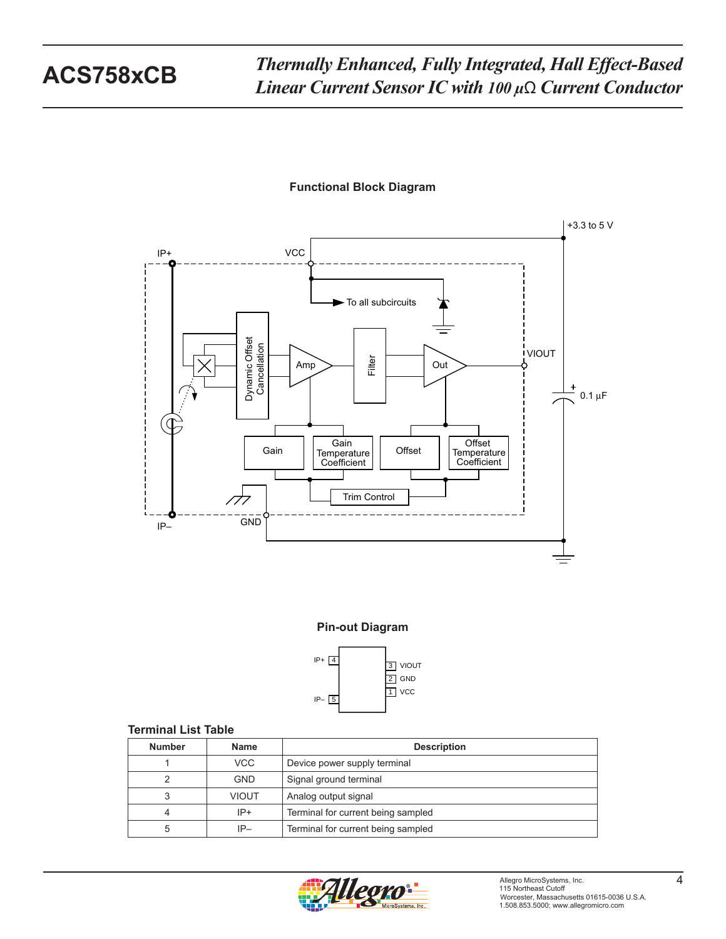### **Functional Block Diagram**



### **Pin-out Diagram**



### **Terminal List Table**

| <b>Number</b> | <b>Name</b>  | <b>Description</b>                 |
|---------------|--------------|------------------------------------|
|               | VCC.         | Device power supply terminal       |
|               | <b>GND</b>   | Signal ground terminal             |
| 3             | <b>VIOUT</b> | Analog output signal               |
| 4             | $IP+$        | Terminal for current being sampled |
| 5             | $IP-$        | Terminal for current being sampled |

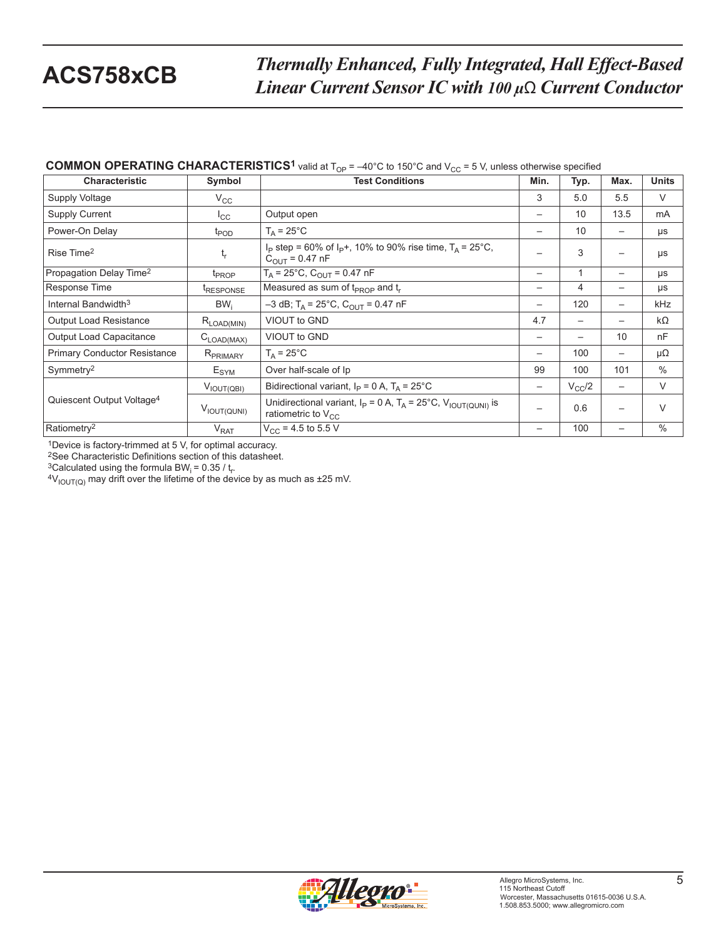# **COMMON OPERATING CHARACTERISTICS<sup>1</sup>** valid at  $T_{OP} = -40^{\circ}C$  to 150°C and  $V_{CC} = 5$  V, unless otherwise specified

| <b>Characteristic</b>                 | Symbol                  | <b>Test Conditions</b>                                                                                     | Min.                     | Typ.       | Max.                     | <b>Units</b> |
|---------------------------------------|-------------------------|------------------------------------------------------------------------------------------------------------|--------------------------|------------|--------------------------|--------------|
| Supply Voltage                        | $V_{\rm CC}$            |                                                                                                            | 3                        | 5.0        | 5.5                      | V            |
| Supply Current                        | $I_{\rm CC}$            | Output open                                                                                                |                          | 10         | 13.5                     | mA           |
| Power-On Delay                        | $t_{\text{POD}}$        | $T_A = 25^{\circ}$ C                                                                                       | -                        | 10         | $\overline{\phantom{m}}$ | μs           |
| Rise Time <sup>2</sup>                | $\mathfrak{t}_{\sf r}$  | $I_P$ step = 60% of $I_P$ +, 10% to 90% rise time, $T_A$ = 25°C,<br>$C_{\text{OUT}} = 0.47 \text{ nF}$     |                          | 3          | $\overline{\phantom{0}}$ | μs           |
| Propagation Delay Time <sup>2</sup>   | t <sub>PROP</sub>       | $T_A$ = 25°C, $C_{OUT}$ = 0.47 nF                                                                          | $\overline{\phantom{m}}$ |            | $\overline{\phantom{m}}$ | μs           |
| Response Time                         | <i><b>TRESPONSE</b></i> | Measured as sum of $t_{PROP}$ and $t_r$                                                                    | $\overline{\phantom{m}}$ | 4          | $\overline{\phantom{m}}$ | μs           |
| Internal Bandwidth <sup>3</sup>       | BW <sub>i</sub>         | $-3$ dB; T <sub>A</sub> = 25°C, C <sub>OUT</sub> = 0.47 nF                                                 |                          | 120        |                          | kHz          |
| <b>Output Load Resistance</b>         | $R_{\text{LOAD(MIN)}}$  | VIOUT to GND                                                                                               | 4.7                      |            |                          | kΩ           |
| Output Load Capacitance               | $C_{\text{LOAD(MAX)}}$  | VIOUT to GND                                                                                               | $\overline{\phantom{m}}$ |            | 10                       | nF           |
| <b>Primary Conductor Resistance</b>   | R <sub>PRIMARY</sub>    | $T_A = 25^{\circ}C$                                                                                        |                          | 100        |                          | μΩ           |
| Symmetry <sup>2</sup>                 | E <sub>SYM</sub>        | Over half-scale of Ip                                                                                      | 99                       | 100        | 101                      | $\%$         |
|                                       | $V_{\text{IOUT(QBI)}}$  | Bidirectional variant, $I_P = 0 A$ , $T_A = 25^{\circ}C$                                                   | $\overline{\phantom{m}}$ | $V_{CC}/2$ | $\overline{\phantom{m}}$ | V            |
| Quiescent Output Voltage <sup>4</sup> | VIOUT(QUNI)             | Unidirectional variant, $I_P = 0 A$ , $T_A = 25^{\circ}C$ , $V_{IOUT(QUNI)}$ is<br>ratiometric to $V_{CC}$ |                          | 0.6        |                          | $\vee$       |
| Ratiometry <sup>2</sup>               | V <sub>RAT</sub>        | $V_{CC}$ = 4.5 to 5.5 V                                                                                    | $\overline{\phantom{m}}$ | 100        | $\overline{\phantom{m}}$ | $\%$         |

1Device is factory-trimmed at 5 V, for optimal accuracy.

2See Characteristic Definitions section of this datasheet.

<sup>3</sup>Calculated using the formula BW<sub>i</sub> =  $0.35 / t_r$ .

 $4V_{\text{IOUT(Q)}}$  may drift over the lifetime of the device by as much as ±25 mV.

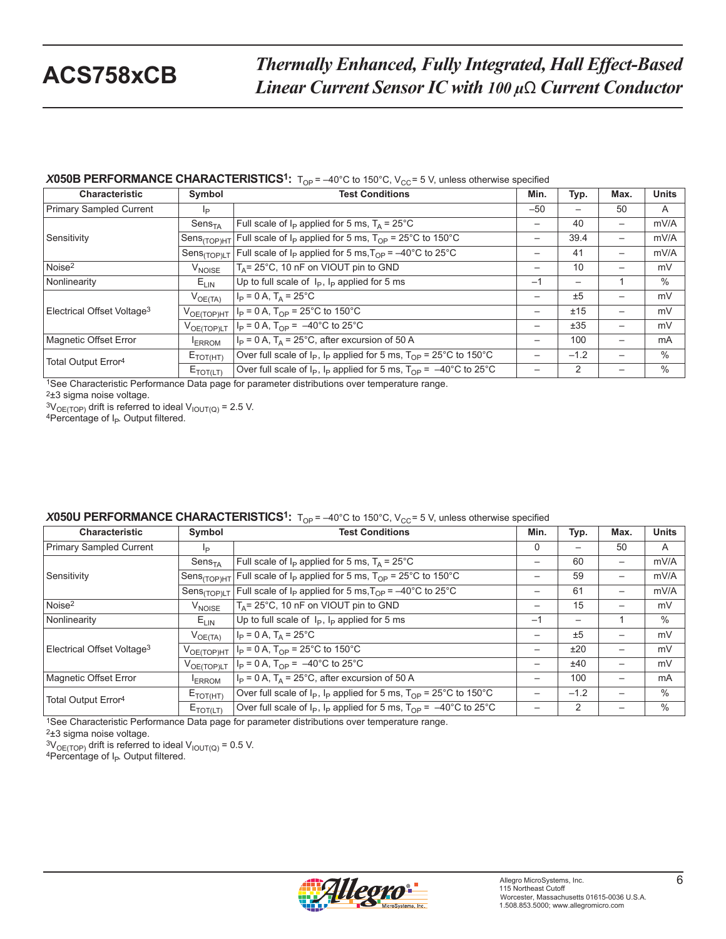### **X050B PERFORMANCE CHARACTERISTICS<sup>1</sup>:**  $T_{OP} = -40^{\circ}$ C to 150°C, V<sub>CC</sub>= 5 V, unless otherwise specified

| <b>Characteristic</b>                  | Symbol                   | <b>Test Conditions</b>                                                              | Min.                     | Typ.   | Max. | <b>Units</b> |
|----------------------------------------|--------------------------|-------------------------------------------------------------------------------------|--------------------------|--------|------|--------------|
| <b>Primary Sampled Current</b>         | Iр                       |                                                                                     | $-50$                    |        | 50   | A            |
|                                        | Sens <sub>TA</sub>       | Full scale of $I_P$ applied for 5 ms, $T_A = 25^{\circ}$ C                          | —                        | 40     | -    | mV/A         |
| Sensitivity                            | Sens <sub>(TOP)HT</sub>  | Full scale of $I_P$ applied for 5 ms, $T_{OP}$ = 25°C to 150°C                      | —                        | 39.4   | -    | mV/A         |
|                                        | Sens <sub>(TOP)LT</sub>  | Full scale of $I_P$ applied for 5 ms, $T_{OP} = -40^{\circ}$ C to 25°C              |                          | 41     | —    | mV/A         |
| Noise <sup>2</sup>                     | <b>V<sub>NOISE</sub></b> | $T_A$ = 25°C, 10 nF on VIOUT pin to GND                                             | —                        | 10     | —    | mV           |
| Nonlinearity                           | $E_{LIN}$                | Up to full scale of $I_P$ , $I_P$ applied for 5 ms                                  | $-1$                     | —      |      | $\%$         |
|                                        | $V_{OE(TA)}$             | $I_P = 0 A$ , $T_A = 25^{\circ}C$                                                   | —                        | ±5     |      | mV           |
| Electrical Offset Voltage <sup>3</sup> | $V_{OE(TOP)HT}$          | $I_P = 0 A$ , $T_{OP} = 25^{\circ}$ C to 150°C                                      | -                        | ±15    | -    | mV           |
|                                        | VOE(TOP)LT               | $I_P = 0 A$ , $T_{OP} = -40^{\circ}C$ to $25^{\circ}C$                              | —                        | ±35    | —    | mV           |
| Magnetic Offset Error                  | <b>ERROM</b>             | $I_P = 0$ A, $T_A = 25^{\circ}$ C, after excursion of 50 A                          | $\overline{\phantom{0}}$ | 100    | —    | <b>mA</b>    |
| Total Output Error <sup>4</sup>        | $E_{\text{TOT(HT)}}$     | Over full scale of $I_P$ , $I_P$ applied for 5 ms, $T_{OP}$ = 25°C to 150°C         | -                        | $-1.2$ |      | $\%$         |
|                                        | $E_{\text{TOT(LT)}}$     | Over full scale of $I_P$ , $I_P$ applied for 5 ms, $T_{OP} = -40^{\circ}$ C to 25°C |                          | 2      |      | $\%$         |

1See Characteristic Performance Data page for parameter distributions over temperature range.

2±3 sigma noise voltage.

<sup>3V</sup> OE(TOP) drift is referred to ideal V<sub>IOUT(Q)</sub> = 2.5 V.<br><sup>4</sup>Percentage of I<sub>P</sub>. Output filtered.

| <b>X050U PERFORMANCE CHARACTERISTICS<sup>1</sup>:</b> $T_{OP} = -40^{\circ}$ C to 150°C, $V_{CC} = 5$ V, unless otherwise specified |  |  |
|-------------------------------------------------------------------------------------------------------------------------------------|--|--|
|-------------------------------------------------------------------------------------------------------------------------------------|--|--|

| <b>Characteristic</b>                  | Symbol                  | <b>Test Conditions</b>                                                              | Min.            | Typ.           | Max.            | <b>Units</b>  |
|----------------------------------------|-------------------------|-------------------------------------------------------------------------------------|-----------------|----------------|-----------------|---------------|
| Primary Sampled Current                | Ip.                     |                                                                                     | $\Omega$        |                | 50              | A             |
|                                        | Sens <sub>TA</sub>      | Full scale of $I_P$ applied for 5 ms, $T_A = 25^{\circ}$ C                          | —               | 60             | —               | mV/A          |
| Sensitivity                            | Sens <sub>(TOP)HT</sub> | Full scale of $I_P$ applied for 5 ms, $T_{OP}$ = 25°C to 150°C                      | -               | 59             | $\qquad \qquad$ | mV/A          |
|                                        | Sens <sub>(TOP)LT</sub> | Full scale of $I_p$ applied for 5 ms, $T_{OP} = -40^{\circ}$ C to 25°C              | —               | 61             | —               | mV/A          |
| Noise <sup>2</sup>                     | V <sub>NOISE</sub>      | $T_A$ = 25°C, 10 nF on VIOUT pin to GND                                             | —               | 15             | —               | mV            |
| Nonlinearity                           | $E_{LIN}$               | Up to full scale of $I_P$ , $I_P$ applied for 5 ms                                  | $-1$            |                |                 | $\%$          |
|                                        | $V_{OE(TA)}$            | $I_P = 0 A$ , $T_A = 25^{\circ}C$                                                   | —               | ±5             | —               | mV            |
| Electrical Offset Voltage <sup>3</sup> | $V_{OE(TOP)HT}$         | $I_P = 0$ A, $T_{OP} = 25^{\circ}$ C to 150°C                                       | $\qquad \qquad$ | ±20            | —               | mV            |
|                                        | $V_{OE(TOP)LT}$         | $I_P = 0$ A, $T_{OP} = -40^{\circ}$ C to 25°C                                       | —               | ±40            | —               | mV            |
| Magnetic Offset Error                  | <b>ERROM</b>            | $I_P = 0$ A, $T_A = 25^{\circ}$ C, after excursion of 50 A                          | —               | 100            | —               | mA            |
| Total Output Error <sup>4</sup>        | $E_{\text{TOT(HT)}}$    | Over full scale of $I_P$ , $I_P$ applied for 5 ms, $T_{OP} = 25^{\circ}$ C to 150°C |                 | $-1.2$         |                 | $\frac{0}{0}$ |
|                                        | $E_{TOT(LT)}$           | Over full scale of $I_P$ , $I_P$ applied for 5 ms, $T_{OP} = -40^{\circ}$ C to 25°C |                 | $\overline{2}$ |                 | $\frac{0}{0}$ |

<sup>1</sup>See Characteristic Performance Data page for parameter distributions over temperature range.

2±3 sigma noise voltage.

 $3V_{OE(TOP)}$  drift is referred to ideal  $V_{IOUT(Q)} = 0.5$  V.<br>4Percentage of I<sub>P</sub>. Output filtered.

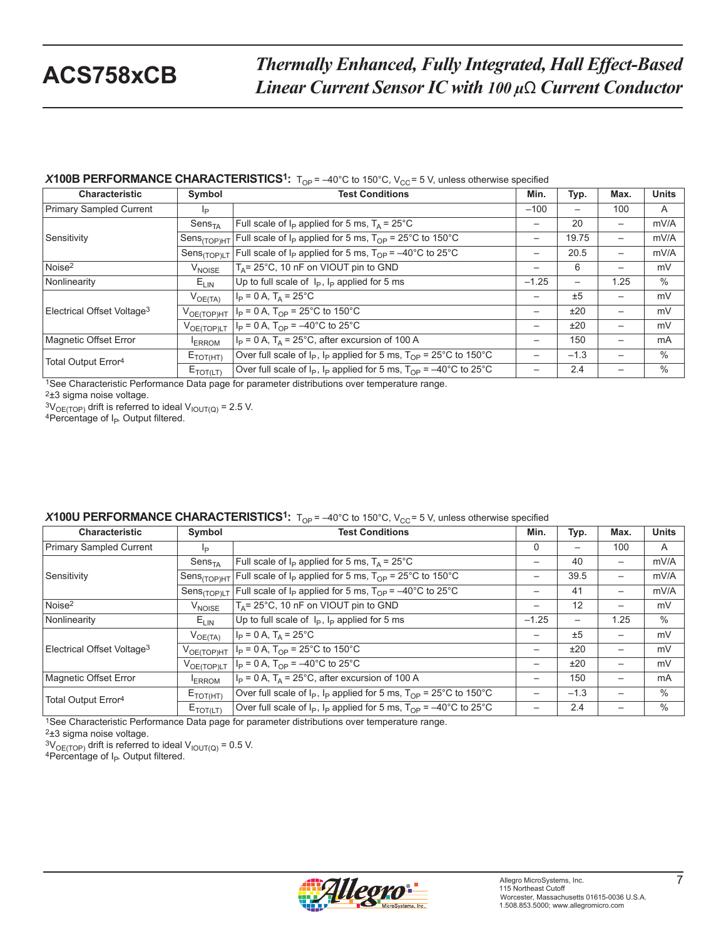### **X100B PERFORMANCE CHARACTERISTICS<sup>1</sup>:**  $T_{OP} = -40^{\circ}$ C to 150°C, V<sub>CC</sub>= 5 V, unless otherwise specified

| <b>Characteristic</b>                  | Symbol                   | <b>Test Conditions</b>                                                      | Min.            | Typ.   | Max.                     | <b>Units</b> |
|----------------------------------------|--------------------------|-----------------------------------------------------------------------------|-----------------|--------|--------------------------|--------------|
| Primary Sampled Current                | Iр                       |                                                                             | $-100$          | —      | 100                      | A            |
|                                        | Sens <sub>TA</sub>       | Full scale of $I_P$ applied for 5 ms, $T_A = 25^{\circ}$ C                  | $\qquad \qquad$ | 20     | $\overline{\phantom{0}}$ | mV/A         |
| Sensitivity                            | Sens <sub>(TOP)HT</sub>  | Full scale of $I_P$ applied for 5 ms, $T_{OP}$ = 25°C to 150°C              | $\qquad \qquad$ | 19.75  | $\overline{\phantom{0}}$ | mV/A         |
|                                        | Sens <sub>(TOP)LT</sub>  | Full scale of $I_P$ applied for 5 ms, $T_{OP} = -40^{\circ}$ C to 25°C      | $\qquad \qquad$ | 20.5   |                          | mV/A         |
| Noise <sup>2</sup>                     | <b>V<sub>NOISE</sub></b> | $T_A$ = 25°C, 10 nF on VIOUT pin to GND                                     |                 | 6      | —                        | mV           |
| Nonlinearity                           | $E_{LIN}$                | Up to full scale of $I_P$ , $I_P$ applied for 5 ms                          | $-1.25$         | —      | 1.25                     | $\%$         |
|                                        | $V_{OE(TA)}$             | $I_P = 0 A$ , $T_A = 25^{\circ}C$                                           | —               | ±5     | —                        | mV           |
| Electrical Offset Voltage <sup>3</sup> | $V_{OE(TOP)HT}$          | $I_P = 0 A$ , $T_{OP} = 25^{\circ}C$ to 150°C                               | —               | ±20    | $\overline{\phantom{0}}$ | mV           |
|                                        | VOE(TOP)LT               | $I_P = 0$ A, $T_{OP} = -40^{\circ}$ C to 25°C                               | $\qquad \qquad$ | ±20    | $\overline{\phantom{0}}$ | mV           |
| Magnetic Offset Error                  | <b>ERROM</b>             | $I_P = 0$ A, $T_A = 25^{\circ}$ C, after excursion of 100 A                 | $\qquad \qquad$ | 150    | $\overline{\phantom{0}}$ | mA           |
| Total Output Error <sup>4</sup>        | $E_{\text{TOT(HT)}}$     | Over full scale of $I_P$ , $I_P$ applied for 5 ms, $T_{OP}$ = 25°C to 150°C |                 | $-1.3$ |                          | $\%$         |
|                                        | $E_{\text{TOT(LT)}}$     | Over full scale of $I_P$ , $I_P$ applied for 5 ms, $T_{OP}$ = -40°C to 25°C |                 | 2.4    |                          | $\%$         |

1See Characteristic Performance Data page for parameter distributions over temperature range.

2±3 sigma noise voltage.

 $3V_{\text{OE(TOP)}}$  drift is referred to ideal  $V_{\text{IOUT(Q)}}$  = 2.5 V.<br>4Percentage of I<sub>P</sub>. Output filtered.

#### *X***100U PERFORMANCE CHARACTERISTICS<sup>1</sup>:**  $T_{OP} = -40^{\circ}$ C to 150 $^{\circ}$ C,  $V_{CC} = 5$  V, unless otherwise specified

| <b>Characteristic</b>                  | Symbol                      | <b>Test Conditions</b>                                                              | Min.            | Typ.                     | Max.                     | <b>Units</b> |
|----------------------------------------|-----------------------------|-------------------------------------------------------------------------------------|-----------------|--------------------------|--------------------------|--------------|
| Primary Sampled Current                | Ip                          |                                                                                     | $\Omega$        | $\overline{\phantom{0}}$ | 100                      | A            |
|                                        | $\mathsf{Sens}_\mathsf{TA}$ | Full scale of $I_P$ applied for 5 ms, $T_A = 25^{\circ}$ C                          | $\qquad \qquad$ | 40                       | $\overline{\phantom{0}}$ | mV/A         |
| Sensitivity                            | Sens <sub>(TOP)HT</sub>     | Full scale of $I_P$ applied for 5 ms, $T_{OP}$ = 25°C to 150°C                      | $\qquad \qquad$ | 39.5                     | $\overline{\phantom{0}}$ | mV/A         |
|                                        | Sens <sub>(TOP)LT</sub>     | Full scale of $I_P$ applied for 5 ms, $T_{OP} = -40^{\circ}$ C to 25°C              |                 | 41                       | $\overline{\phantom{0}}$ | mV/A         |
| Noise <sup>2</sup>                     | V <sub>NOISE</sub>          | $T_A$ = 25°C, 10 nF on VIOUT pin to GND                                             | $\qquad \qquad$ | 12                       | $\overline{\phantom{0}}$ | mV           |
| Nonlinearity                           | $E_{LIN}$                   | Up to full scale of $I_P$ , $I_P$ applied for 5 ms                                  | $-1.25$         | $\qquad \qquad -$        | 1.25                     | $\%$         |
|                                        | $V_{OE(TA)}$                | $I_P = 0 A$ , $T_A = 25^{\circ}C$                                                   |                 | ±5                       | —                        | mV           |
| Electrical Offset Voltage <sup>3</sup> | $V_{OE(TOP)HT}$             | $I_P = 0 A$ , $T_{OP} = 25^{\circ}C$ to 150°C                                       | $\qquad \qquad$ | ±20                      | $\overline{\phantom{0}}$ | mV           |
|                                        | $V_{OE(TOP)LT}$             | $I_P = 0 A$ , $T_{OP} = -40^{\circ}$ C to 25°C                                      | $\qquad \qquad$ | ±20                      | —                        | mV           |
| Magnetic Offset Error                  | <b>ERROM</b>                | $I_P = 0$ A, $T_A = 25^{\circ}$ C, after excursion of 100 A                         |                 | 150                      | —                        | mA           |
| Total Output Error <sup>4</sup>        | $E_{\text{TOT(HT)}}$        | Over full scale of $I_P$ , $I_P$ applied for 5 ms, $T_{OP}$ = 25°C to 150°C         |                 | $-1.3$                   | —                        | $\%$         |
|                                        | $E_{\text{TOT(LT)}}$        | Over full scale of $I_P$ , $I_P$ applied for 5 ms, $T_{OP} = -40^{\circ}$ C to 25°C |                 | 2.4                      |                          | $\%$         |

<sup>1</sup>See Characteristic Performance Data page for parameter distributions over temperature range.

2±3 sigma noise voltage.

 $3V_{OE(TOP)}$  drift is referred to ideal  $V_{IOUT(Q)} = 0.5$  V.<br><sup>4</sup>Percentage of I<sub>P</sub>. Output filtered.

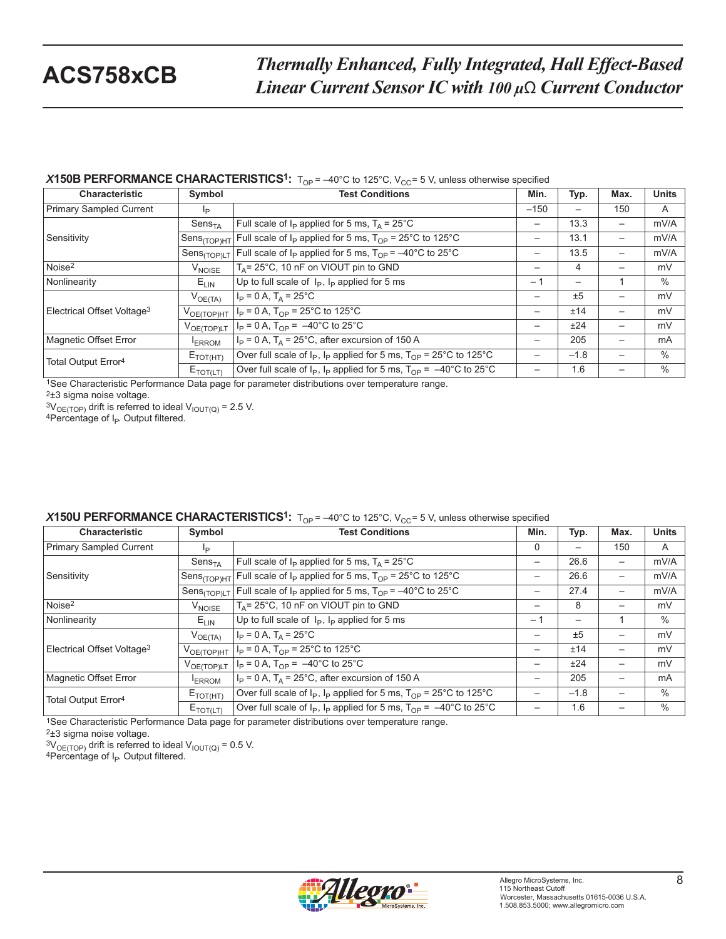### **X150B PERFORMANCE CHARACTERISTICS<sup>1</sup>:**  $T_{OP} = -40^{\circ}$ C to 125°C, V<sub>CC</sub>= 5 V, unless otherwise specified

| <b>Characteristic</b>                  | Symbol                  | <b>Test Conditions</b>                                                                                  | Min.                     | Typ.   | Max. | <b>Units</b> |
|----------------------------------------|-------------------------|---------------------------------------------------------------------------------------------------------|--------------------------|--------|------|--------------|
| Primary Sampled Current                | Iр                      |                                                                                                         | $-150$                   |        | 150  | A            |
|                                        | Sens <sub>TA</sub>      | Full scale of $I_P$ applied for 5 ms, $T_A = 25^{\circ}$ C                                              | $\overline{\phantom{0}}$ | 13.3   | -    | mV/A         |
| Sensitivity                            | Sens <sub>(TOP)HT</sub> | Full scale of $I_P$ applied for 5 ms, $T_{OP} = 25^{\circ}$ C to 125°C                                  | —                        | 13.1   | —    | mV/A         |
|                                        | Sens <sub>(TOP)LT</sub> | Full scale of $I_P$ applied for 5 ms, $T_{OP} = -40^{\circ}$ C to 25°C                                  | —                        | 13.5   | -    | mV/A         |
| Noise <sup>2</sup>                     | V <sub>NOISE</sub>      | T <sub>A</sub> = 25°C, 10 nF on VIOUT pin to GND                                                        | -                        | 4      |      | mV           |
| Nonlinearity                           | $E_{LIN}$               | Up to full scale of $I_P$ , $I_P$ applied for 5 ms                                                      | $-1$                     |        |      | $\%$         |
|                                        | $V_{OE(TA)}$            | $I_P = 0 A$ , $T_A = 25^{\circ}C$                                                                       | —                        | ±5     | —    | mV           |
| Electrical Offset Voltage <sup>3</sup> | $V_{OE(TOP)HT}$         | $I_P = 0 A$ , T <sub>OP</sub> = 25°C to 125°C                                                           | $\overline{\phantom{0}}$ | ±14    | —    | mV           |
|                                        | VOE(TOP)LT              | $I_P = 0$ A, $T_{OP} = -40^{\circ}$ C to 25°C                                                           | —                        | ±24    | —    | mV           |
| Magnetic Offset Error                  | <b>ERROM</b>            | $I_P$ = 0 A, T <sub>A</sub> = 25°C, after excursion of 150 A                                            | $\overline{\phantom{0}}$ | 205    | —    | <b>mA</b>    |
| Total Output Error <sup>4</sup>        | $E_{\text{TOT(HT)}}$    | Over full scale of $I_P$ , $I_P$ applied for 5 ms, $T_{OP}$ = 25°C to 125°C                             | —                        | $-1.8$ | —    | $\%$         |
|                                        | $E_{\text{TOT(LT)}}$    | Over full scale of $I_p$ , $I_p$ applied for 5 ms, $T_{\text{OP}} = -40^{\circ}$ C to 25 <sup>o</sup> C |                          | 1.6    |      | $\%$         |

1See Characteristic Performance Data page for parameter distributions over temperature range.

2±3 sigma noise voltage.

<sup>3V</sup> OE(TOP) drift is referred to ideal V<sub>IOUT(Q)</sub> = 2.5 V.<br><sup>4</sup>Percentage of I<sub>P</sub>. Output filtered.

#### **X150U PERFORMANCE CHARACTERISTICS<sup>1</sup>:**  $T_{OP} = -40^{\circ}$ C to 125 $^{\circ}$ C,  $V_{CC} = 5$  V, unless otherwise specified

| <b>Characteristic</b>                  | Symbol                  | <b>Test Conditions</b>                                                              | Min.                     | Typ.   | Max.                     | <b>Units</b> |
|----------------------------------------|-------------------------|-------------------------------------------------------------------------------------|--------------------------|--------|--------------------------|--------------|
| Primary Sampled Current                | Ip                      |                                                                                     | $\Omega$                 |        | 150                      | A            |
| Sensitivity                            | Sens <sub>TA</sub>      | Full scale of $I_P$ applied for 5 ms, $T_A = 25^{\circ}$ C                          | $\overline{\phantom{m}}$ | 26.6   |                          | mV/A         |
|                                        | Sens <sub>(TOP)HT</sub> | Full scale of $I_P$ applied for 5 ms, $T_{OP}$ = 25°C to 125°C                      | $\overline{\phantom{m}}$ | 26.6   | $\overline{\phantom{m}}$ | mV/A         |
|                                        | Sens <sub>(TOP)LT</sub> | Full scale of $I_P$ applied for 5 ms, $T_{OP} = -40^{\circ}$ C to 25°C              | —                        | 27.4   | $\overline{\phantom{0}}$ | mV/A         |
| Noise <sup>2</sup>                     | V <sub>NOISE</sub>      | $T_A$ = 25°C, 10 nF on VIOUT pin to GND                                             | $\overline{\phantom{m}}$ | 8      | —                        | mV           |
| Nonlinearity                           | $E_{LIN}$               | Up to full scale of $I_P$ , $I_P$ applied for 5 ms                                  | $-1$                     |        |                          | $\%$         |
| Electrical Offset Voltage <sup>3</sup> | $V_{OE(TA)}$            | $I_P = 0 A$ , $T_A = 25^{\circ}C$                                                   | —                        | ±5     | $\overline{\phantom{0}}$ | mV           |
|                                        | $V_{OE(TOP)HT}$         | $I_P = 0 A$ , $T_{OP} = 25^{\circ}C$ to 125°C                                       | $\qquad \qquad -$        | ±14    | $\overline{\phantom{0}}$ | mV           |
|                                        | $V_{OE(TOP)LT}$         | $I_P = 0$ A, $T_{OP} = -40^{\circ}$ C to 25°C                                       | —                        | ±24    |                          | mV           |
| Magnetic Offset Error                  | <b>ERROM</b>            | $I_P = 0$ A, $T_A = 25^{\circ}$ C, after excursion of 150 A                         | $\overline{\phantom{m}}$ | 205    | $\overline{\phantom{0}}$ | mA           |
| Total Output Error <sup>4</sup>        | $E_{\rm TOT(HT)}$       | Over full scale of $I_P$ , $I_P$ applied for 5 ms, $T_{OP}$ = 25°C to 125°C         | —                        | $-1.8$ |                          | $\%$         |
|                                        | $E_{TOT(LT)}$           | Over full scale of $I_P$ , $I_P$ applied for 5 ms, $T_{OP} = -40^{\circ}$ C to 25°C |                          | 1.6    |                          | $\%$         |

<sup>1</sup>See Characteristic Performance Data page for parameter distributions over temperature range.

2±3 sigma noise voltage.

 $3V_{OE(TOP)}$  drift is referred to ideal  $V_{IOUT(Q)} = 0.5$  V.<br>4Percentage of I<sub>P</sub>. Output filtered.

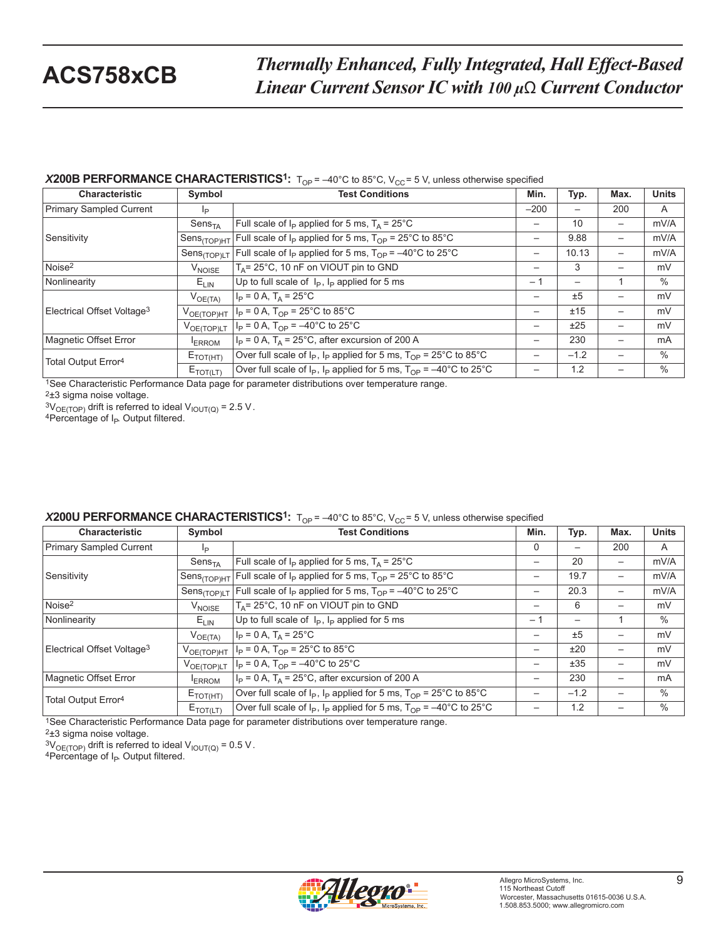#### **X200B PERFORMANCE CHARACTERISTICS<sup>1</sup>:**  $T_{OP} = -40^{\circ}$ C to 85°C, V<sub>CC</sub>= 5 V, unless otherwise specified

| <b>Characteristic</b>                  | Symbol                   | <b>Test Conditions</b>                                                              | Min.            | Typ.                     | Max.                     | <b>Units</b> |
|----------------------------------------|--------------------------|-------------------------------------------------------------------------------------|-----------------|--------------------------|--------------------------|--------------|
| Primary Sampled Current                | Ιp                       |                                                                                     | $-200$          | $\qquad \qquad -$        | 200                      | A            |
| Sensitivity                            | Sens <sub>TA</sub>       | Full scale of $I_P$ applied for 5 ms, $T_A = 25^{\circ}$ C                          |                 | 10                       | $\overline{\phantom{0}}$ | mV/A         |
|                                        | Sens <sub>(TOP)HT</sub>  | Full scale of $I_P$ applied for 5 ms, $T_{OP}$ = 25°C to 85°C                       | $\qquad \qquad$ | 9.88                     | $\overline{\phantom{0}}$ | mV/A         |
|                                        | Sens <sub>(TOP)LT</sub>  | Full scale of $I_P$ applied for 5 ms, $T_{OP} = -40^{\circ}$ C to 25°C              | $\qquad \qquad$ | 10.13                    | —                        | mV/A         |
| Noise <sup>2</sup>                     | <b>V<sub>NOISE</sub></b> | $T_A$ = 25°C, 10 nF on VIOUT pin to GND                                             | —               | 3                        | —                        | mV           |
| Nonlinearity                           | $E_{LIN}$                | Up to full scale of $I_P$ , $I_P$ applied for 5 ms                                  | $-1$            | $\overline{\phantom{0}}$ |                          | $\%$         |
| Electrical Offset Voltage <sup>3</sup> | $V_{OE(TA)}$             | $I_P = 0 A$ , $T_A = 25^{\circ}C$                                                   | —               | ±5                       | $\overline{\phantom{0}}$ | mV           |
|                                        | $V_{OE(TOP)HT}$          | $I_P = 0 A$ , $T_{OP} = 25^{\circ}$ C to 85 $^{\circ}$ C                            | —               | ±15                      | $\overline{\phantom{0}}$ | mV           |
|                                        | $V_{OE(TOP)LT}$          | $I_P = 0 A$ , $T_{OP} = -40^{\circ}$ C to 25°C                                      | —               | ±25                      | —                        | mV           |
| Magnetic Offset Error                  | <b>ERROM</b>             | $I_P = 0$ A, $T_A = 25$ °C, after excursion of 200 A                                | $\qquad \qquad$ | 230                      | —                        | mA           |
| Total Output Error <sup>4</sup>        | $E_{\text{TOT(HT)}}$     | Over full scale of $I_P$ , $I_P$ applied for 5 ms, $T_{OP}$ = 25°C to 85°C          | $\qquad \qquad$ | $-1.2$                   | —                        | $\%$         |
|                                        | $E_{\text{TOT(LT)}}$     | Over full scale of $I_P$ , $I_P$ applied for 5 ms, $T_{OP} = -40^{\circ}$ C to 25°C |                 | 1.2                      |                          | $\%$         |

1See Characteristic Performance Data page for parameter distributions over temperature range.

2±3 sigma noise voltage.

 $3V_{\text{OE(TOP)}}$  drift is referred to ideal  $V_{\text{IOUT(Q)}} = 2.5 \text{ V}$ .<br>4Percentage of I<sub>P</sub>. Output filtered.

#### **X200U PERFORMANCE CHARACTERISTICS<sup>1</sup>:**  $T_{OP} = -40^{\circ}$ C to 85°C, V<sub>CC</sub>= 5 V, unless otherwise specified

| <b>Characteristic</b>                  | Symbol                      | <b>Test Conditions</b>                                                              | Min.            | Typ.                     | Max.                     | <b>Units</b> |
|----------------------------------------|-----------------------------|-------------------------------------------------------------------------------------|-----------------|--------------------------|--------------------------|--------------|
| Primary Sampled Current                | Ip                          |                                                                                     | $\Omega$        | —                        | 200                      | A            |
| Sensitivity                            | $\mathsf{Sens}_\mathsf{TA}$ | Full scale of $I_P$ applied for 5 ms, $T_A = 25^{\circ}$ C                          | $\qquad \qquad$ | 20                       | $\qquad \qquad -$        | mV/A         |
|                                        | Sens <sub>(TOP)HT</sub>     | Full scale of $I_P$ applied for 5 ms, $T_{OP}$ = 25°C to 85°C                       | $\qquad \qquad$ | 19.7                     | $\qquad \qquad -$        | mV/A         |
|                                        | Sens <sub>(TOP)LT</sub>     | Full scale of $I_P$ applied for 5 ms, $T_{OP} = -40^{\circ}$ C to 25°C              |                 | 20.3                     | $\qquad \qquad -$        | mV/A         |
| Noise <sup>2</sup>                     | V <sub>NOISE</sub>          | $T_A$ = 25°C, 10 nF on VIOUT pin to GND                                             | $\qquad \qquad$ | 6                        | $\overline{\phantom{0}}$ | mV           |
| Nonlinearity                           | $E_{LIN}$                   | Up to full scale of $I_P$ , $I_P$ applied for 5 ms                                  | $-1$            | $\overline{\phantom{0}}$ |                          | $\%$         |
| Electrical Offset Voltage <sup>3</sup> | $V_{OE(TA)}$                | $I_P = 0 A$ , $T_A = 25^{\circ}C$                                                   |                 | ±5                       | $\overline{\phantom{0}}$ | mV           |
|                                        | $V_{OE(TOP)HT}$             | $I_P = 0 A$ , $T_{OP} = 25^{\circ}C$ to 85°C                                        | $\qquad \qquad$ | ±20                      | $\overline{\phantom{0}}$ | mV           |
|                                        | $V_{OE(TOP)LT}$             | $I_P = 0 A$ , $T_{OP} = -40^{\circ}$ C to 25°C                                      | $\qquad \qquad$ | ±35                      | —                        | mV           |
| Magnetic Offset Error                  | <b>ERROM</b>                | $I_P = 0$ A, $T_A = 25^{\circ}$ C, after excursion of 200 A                         |                 | 230                      | —                        | mA           |
| Total Output Error <sup>4</sup>        | $E_{\text{TOT(HT)}}$        | Over full scale of $I_P$ , $I_P$ applied for 5 ms, $T_{OP}$ = 25°C to 85°C          |                 | $-1.2$                   | —                        | $\%$         |
|                                        | $E_{\text{TOT(LT)}}$        | Over full scale of $I_P$ , $I_P$ applied for 5 ms, $T_{OP} = -40^{\circ}$ C to 25°C |                 | 1.2                      |                          | $\%$         |

<sup>1</sup>See Characteristic Performance Data page for parameter distributions over temperature range.

2±3 sigma noise voltage.

 $3V_{OE(TOP)}$  drift is referred to ideal  $V_{IOUT(Q)} = 0.5$  V.<br><sup>4</sup>Percentage of I<sub>P</sub>. Output filtered.

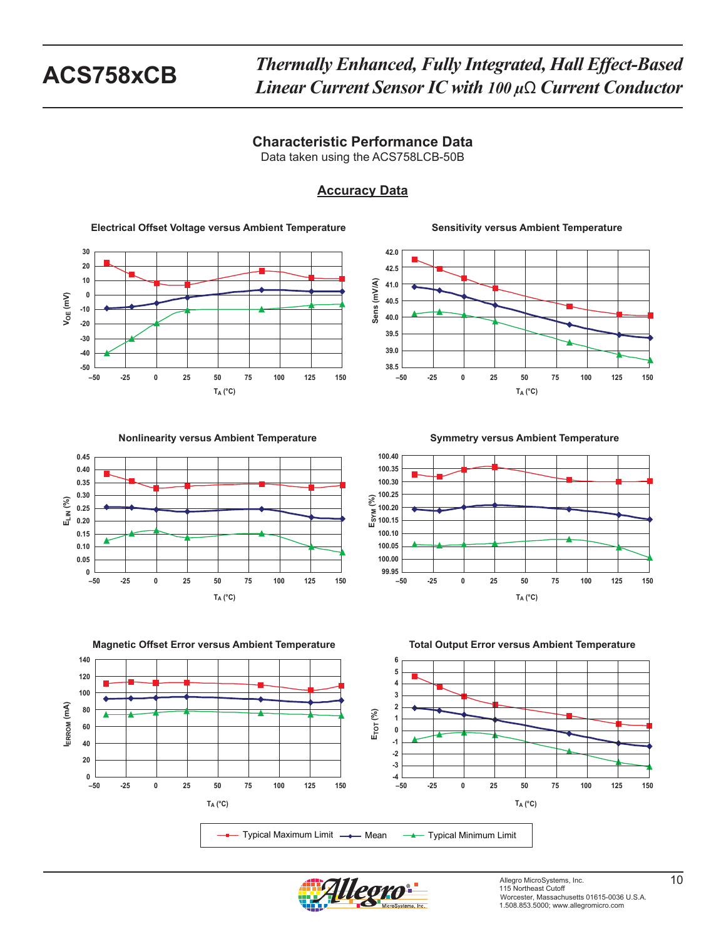Data taken using the ACS758LCB-50B

## **Accuracy Data**

**Electrical Offset Voltage versus Ambient Temperature**



#### **Sensitivity versus Ambient Temperature**



**Nonlinearity versus Ambient Temperature** 



**Symmetry versus Ambient Temperature** 





**Magnetic Offset Error versus Ambient Temperature Total Output Error versus Ambient Temperature**



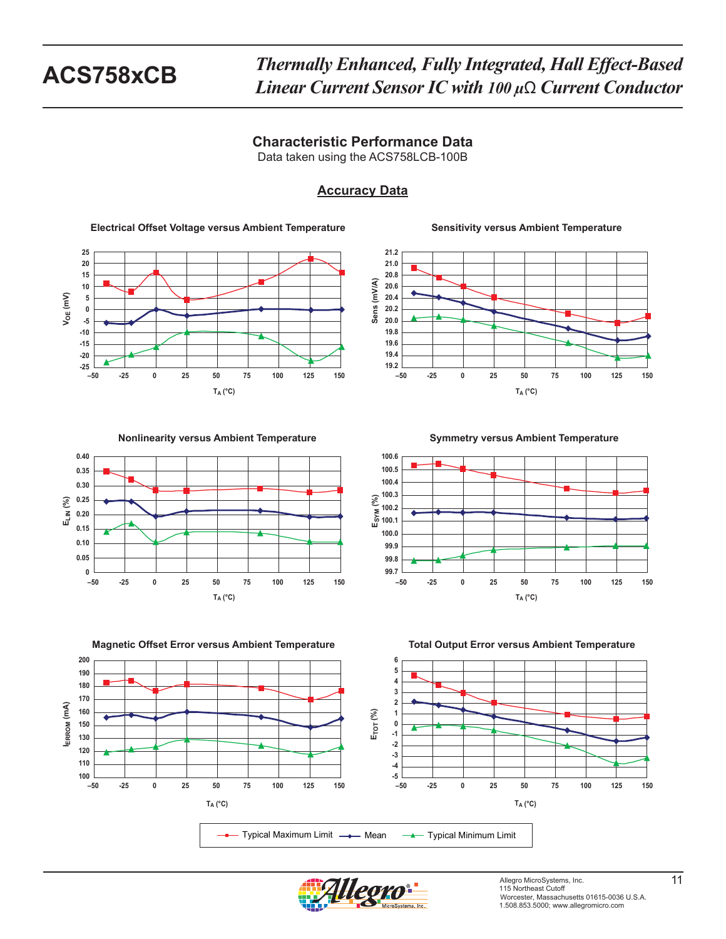Data taken using the ACS758LCB-100B

## **Accuracy Data**

**Electrical Offset Voltage versus Ambient Temperature**



### **Sensitivity versus Ambient Temperature**



**Nonlinearity versus Ambient Temperature** 



**Magnetic Offset Error versus Ambient Temperature Total Output Error versus Ambient Temperature**



**Symmetry versus Ambient Temperature** 





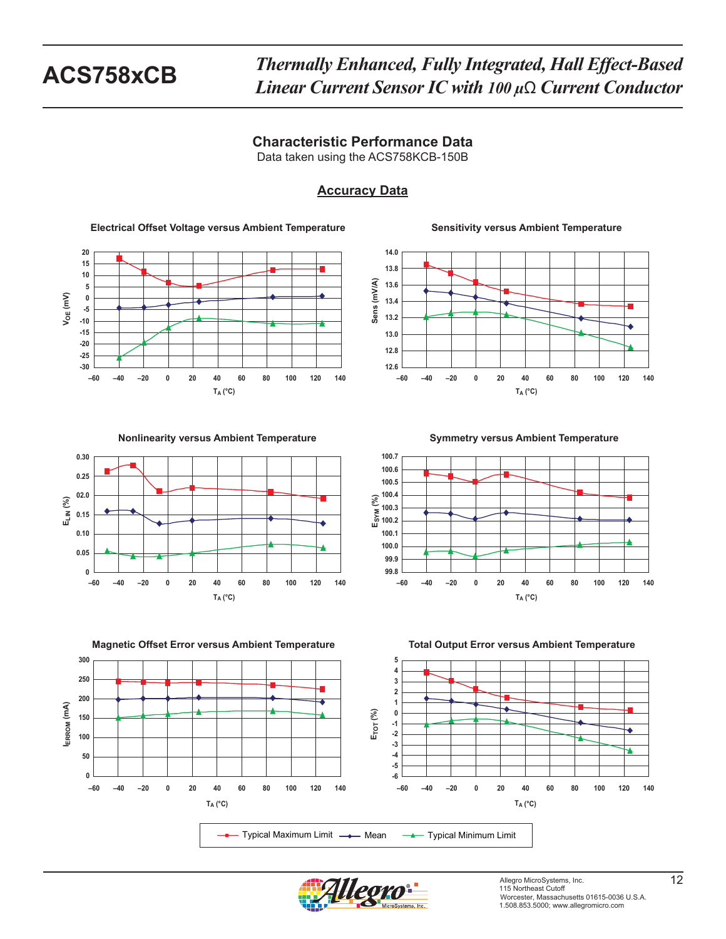Data taken using the ACS758KCB-150B

# **Accuracy Data**

**Electrical Offset Voltage versus Ambient Temperature**



**Sensitivity versus Ambient Temperature**



**Nonlinearity versus Ambient Temperature** 



**Symmetry versus Ambient Temperature** 





**Magnetic Offset Error versus Ambient Temperature Total Output Error versus Ambient Temperature**



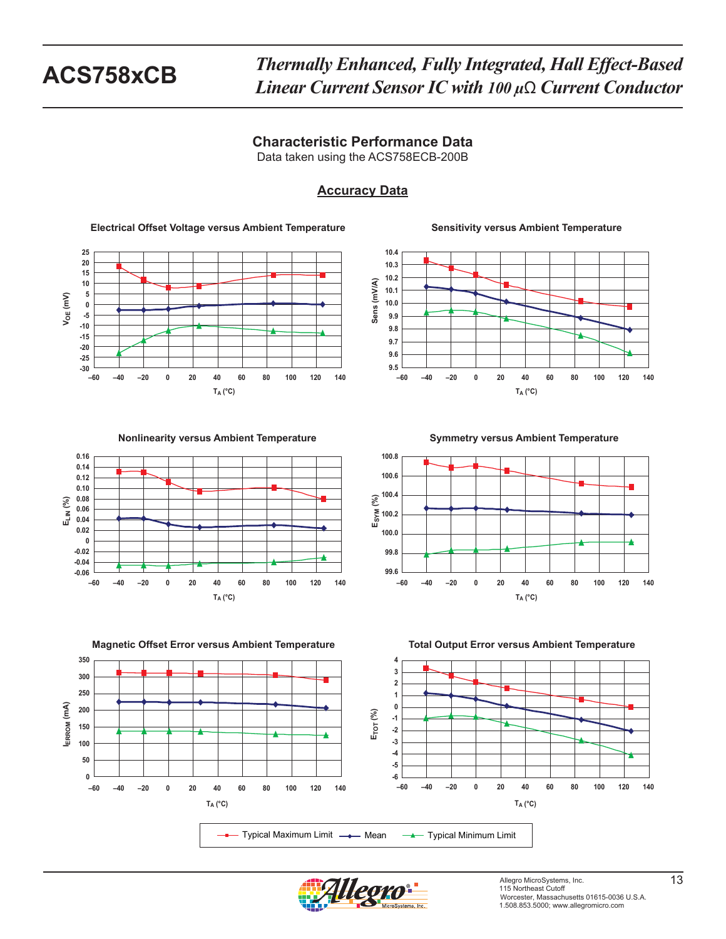Data taken using the ACS758ECB-200B

## **Accuracy Data**

**Electrical Offset Voltage versus Ambient Temperature**



**Sensitivity versus Ambient Temperature**



**Nonlinearity versus Ambient Temperature** 



**Magnetic Offset Error versus Ambient Temperature Total Output Error versus Ambient Temperature**



**Symmetry versus Ambient Temperature** 





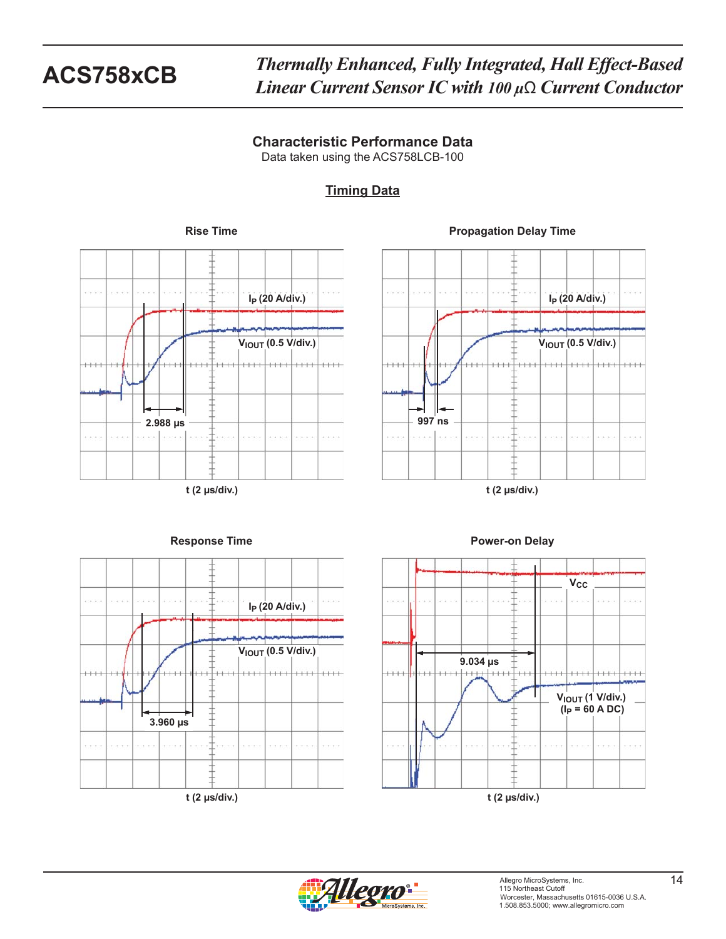Data taken using the ACS758LCB-100

# **Timing Data**



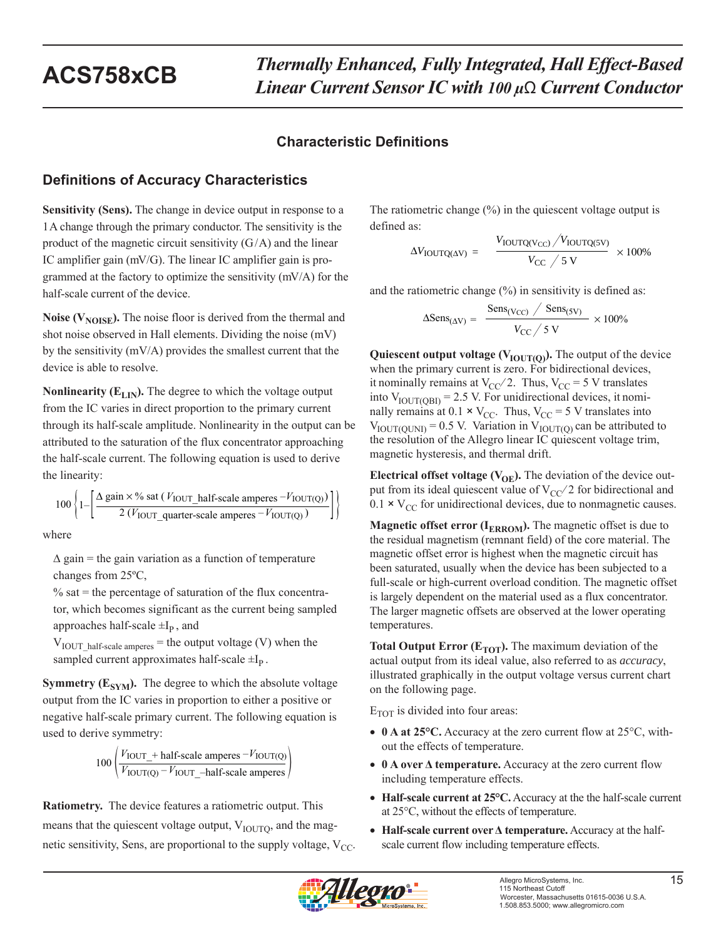# **Characteristic Definitions**

# **Definitions of Accuracy Characteristics**

**Sensitivity (Sens).** The change in device output in response to a 1 A change through the primary conductor. The sensitivity is the product of the magnetic circuit sensitivity  $(G/A)$  and the linear IC amplifier gain (mV/G). The linear IC amplifier gain is programmed at the factory to optimize the sensitivity (mV/A) for the half-scale current of the device.

**Noise (V<sub>NOISE</sub>).** The noise floor is derived from the thermal and shot noise observed in Hall elements. Dividing the noise (mV) by the sensitivity (mV/A) provides the smallest current that the device is able to resolve.

**Nonlinearity (** $E_{LIN}$ **). The degree to which the voltage output** from the IC varies in direct proportion to the primary current through its half-scale amplitude. Nonlinearity in the output can be attributed to the saturation of the flux concentrator approaching the half-scale current. The following equation is used to derive the linearity:

$$
100\left\{1-\left[\frac{\Delta \text{ gain} \times \% \text{ sat } (V_{\text{IOUT\_half-scale amperes}} - V_{\text{IOUT(Q)}})}{2 (V_{\text{IOUT\_quarter-scale amperes}} - V_{\text{IOUT(Q)}})}\right]\right\}
$$

where

 $\Delta$  gain = the gain variation as a function of temperature changes from 25ºC,

 $%$  sat = the percentage of saturation of the flux concentrator, which becomes significant as the current being sampled approaches half-scale  $\pm I_p$ , and

 $V_{\text{IOUT}}$  half-scale amperes = the output voltage (V) when the sampled current approximates half-scale  $\pm I_p$ .

**Symmetry (** $E_{SYM}$ **).** The degree to which the absolute voltage output from the IC varies in proportion to either a positive or negative half-scale primary current. The following equation is used to derive symmetry:

$$
100 \left( \frac{V_{\text{IOUT}} + \text{half-scale amperes} - V_{\text{IOUT(Q)}}}{V_{\text{IOUT(Q)}} - V_{\text{IOUT}} - \text{half-scale amperes}} \right)
$$

**Ratiometry.** The device features a ratiometric output. This means that the quiescent voltage output,  $V_{\text{IOUTO}}$ , and the magnetic sensitivity, Sens, are proportional to the supply voltage,  $V_{CC}$ . The ratiometric change  $(\%)$  in the quiescent voltage output is defined as:

$$
\Delta V_{\text{IOUTQ(AV)}} = \frac{V_{\text{IOUTQ(V_{CC})}}/V_{\text{IOUTQ(SV)}}}{V_{\text{CC}}/5 \text{ V}} \times 100\%
$$

and the ratiometric change (%) in sensitivity is defined as:

$$
\Delta \text{Sens}_{(\Delta V)} = \frac{\text{Sens}_{(V_{CC})} / \text{Sens}_{(5V)}}{V_{CC} / 5 \text{ V}} \times 100\%
$$

Quiescent output voltage  $(V_{\text{IOUT}(Q)})$ . The output of the device when the primary current is zero. For bidirectional devices, it nominally remains at  $V_{CC}/2$ . Thus,  $V_{CC} = 5$  V translates into  $V_{\text{IOUT(OBI)}} = 2.5$  V. For unidirectional devices, it nominally remains at 0.1  $\times$  V<sub>CC</sub>. Thus, V<sub>CC</sub> = 5 V translates into  $V_{\text{IOUT(OLNI)}} = 0.5 \text{ V}$ . Variation in  $V_{\text{IOUT(O)}}$  can be attributed to the resolution of the Allegro linear IC quiescent voltage trim, magnetic hysteresis, and thermal drift.

**Electrical offset voltage (** $V_{OE}$ **).** The deviation of the device output from its ideal quiescent value of  $V_{CC}/2$  for bidirectional and  $0.1 \times V_{CC}$  for unidirectional devices, due to nonmagnetic causes.

**Magnetic offset error (I<sub>ERROM</sub>).** The magnetic offset is due to the residual magnetism (remnant field) of the core material. The magnetic offset error is highest when the magnetic circuit has been saturated, usually when the device has been subjected to a full-scale or high-current overload condition. The magnetic offset is largely dependent on the material used as a flux concentrator. The larger magnetic offsets are observed at the lower operating temperatures.

**Total Output Error (** $E_{TOT}$ **).** The maximum deviation of the actual output from its ideal value, also referred to as *accuracy*, illustrated graphically in the output voltage versus current chart on the following page.

 $E_{TOT}$  is divided into four areas:

- **0 A at 25°C.** Accuracy at the zero current flow at 25°C, without the effects of temperature.
- **0 A over Δ temperature.** Accuracy at the zero current flow including temperature effects.
- **Half-scale current at 25°C.** Accuracy at the the half-scale current at 25°C, without the effects of temperature.
- **Half-scale current over Δ temperature.** Accuracy at the halfscale current flow including temperature effects.

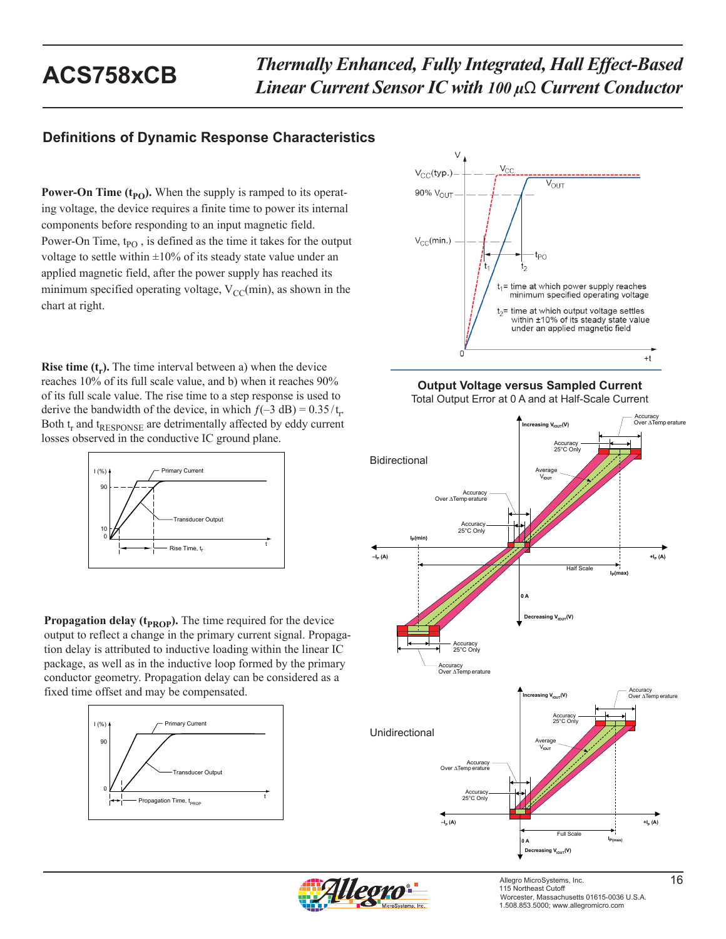# **Definitions of Dynamic Response Characteristics**

**Power-On Time**  $(t_{PO})$ **.** When the supply is ramped to its operating voltage, the device requires a finite time to power its internal components before responding to an input magnetic field. Power-On Time,  $t_{PO}$ , is defined as the time it takes for the output voltage to settle within  $\pm 10\%$  of its steady state value under an applied magnetic field, after the power supply has reached its minimum specified operating voltage,  $V_{CC}(min)$ , as shown in the chart at right.

**Rise time**  $(t_r)$ **.** The time interval between a) when the device reaches 10% of its full scale value, and b) when it reaches 90% of its full scale value. The rise time to a step response is used to derive the bandwidth of the device, in which  $f(-3 \text{ dB}) = 0.35/t_r$ . Both  $t_r$  and  $t_{RESPONSE}$  are detrimentally affected by eddy current losses observed in the conductive IC ground plane.



**Propagation delay (** $t_{PROP}$ **).** The time required for the device output to reflect a change in the primary current signal. Propagation delay is attributed to inductive loading within the linear IC package, as well as in the inductive loop formed by the primary conductor geometry. Propagation delay can be considered as a fixed time offset and may be compensated.





**Output Voltage versus Sampled Current** Total Output Error at 0 A and at Half-Scale Current





Allegro MicroSystems, Inc. <sup>16</sup> 115 Northeast Cutoff Worcester, Massachusetts 01615-0036 U.S.A. 1.508.853.5000; www.allegromicro.com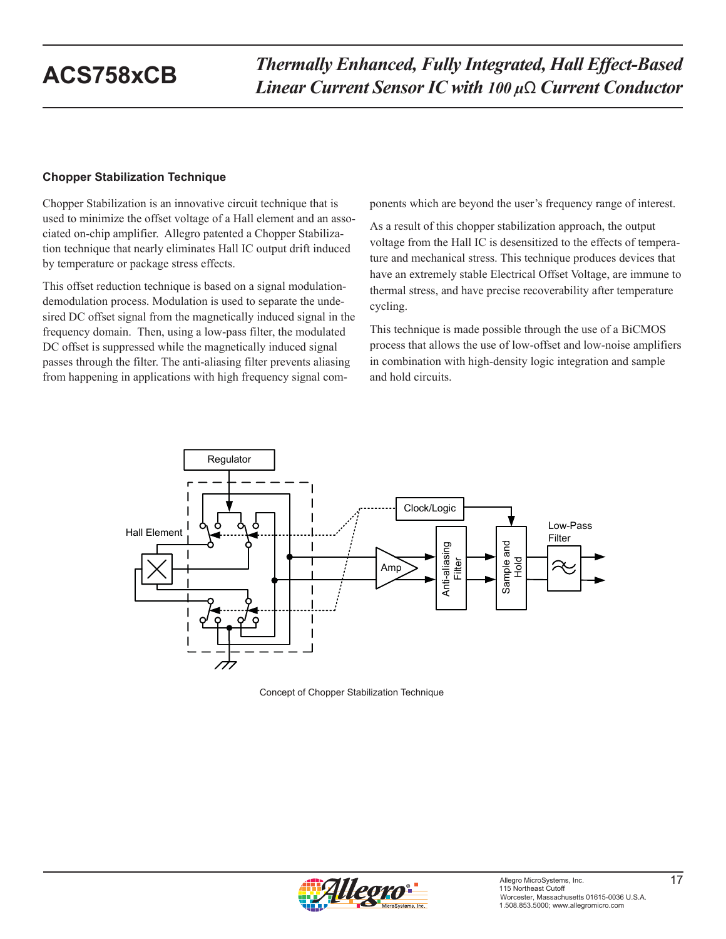### **Chopper Stabilization Technique**

Chopper Stabilization is an innovative circuit technique that is used to minimize the offset voltage of a Hall element and an associated on-chip amplifier. Allegro patented a Chopper Stabilization technique that nearly eliminates Hall IC output drift induced by temperature or package stress effects.

This offset reduction technique is based on a signal modulationdemodulation process. Modulation is used to separate the undesired DC offset signal from the magnetically induced signal in the frequency domain. Then, using a low-pass filter, the modulated DC offset is suppressed while the magnetically induced signal passes through the filter. The anti-aliasing filter prevents aliasing from happening in applications with high frequency signal components which are beyond the user's frequency range of interest.

As a result of this chopper stabilization approach, the output voltage from the Hall IC is desensitized to the effects of temperature and mechanical stress. This technique produces devices that have an extremely stable Electrical Offset Voltage, are immune to thermal stress, and have precise recoverability after temperature cycling.

This technique is made possible through the use of a BiCMOS process that allows the use of low-offset and low-noise amplifiers in combination with high-density logic integration and sample and hold circuits.



Concept of Chopper Stabilization Technique

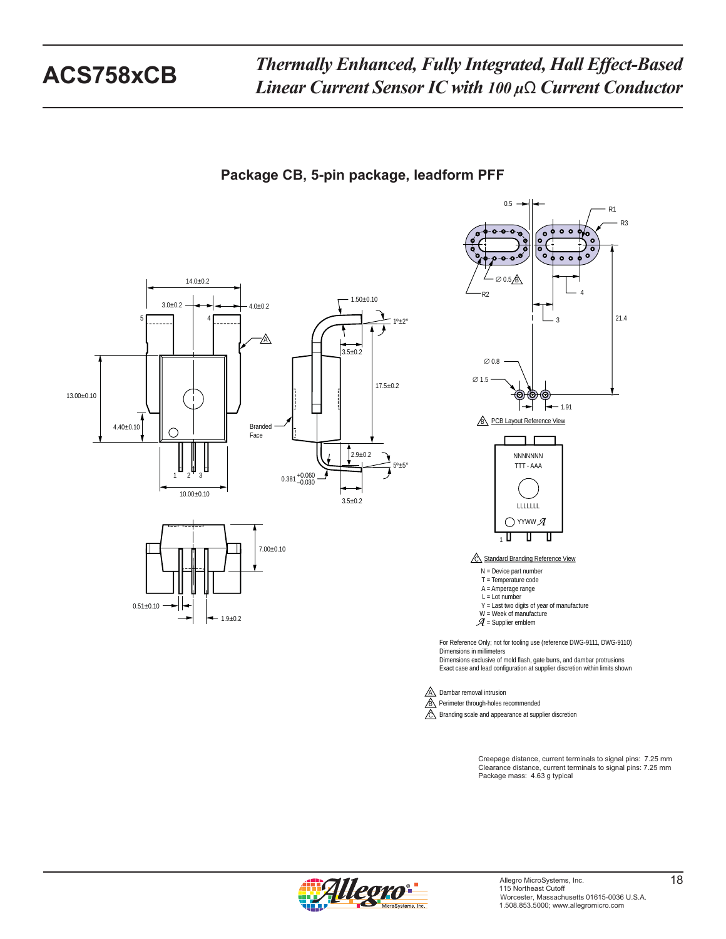

**Package CB, 5-pin package, leadform PFF**

Creepage distance, current terminals to signal pins: 7.25 mm Clearance distance, current terminals to signal pins: 7.25 mm Package mass: 4.63 g typical